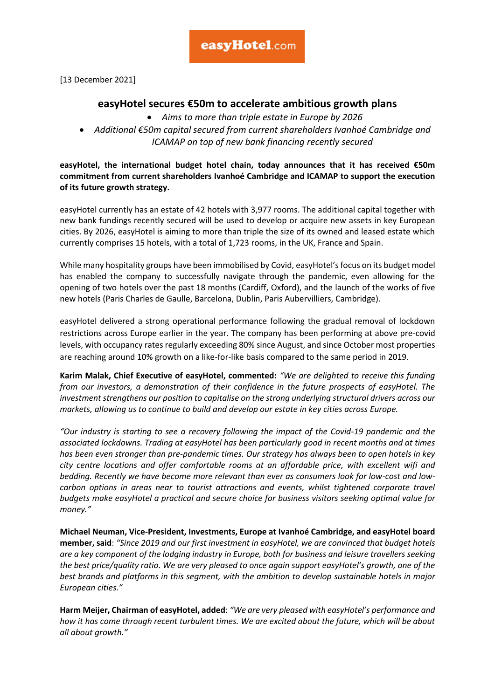[13 December 2021]

## **easyHotel secures €50m to accelerate ambitious growth plans**

- *Aims to more than triple estate in Europe by 2026*
- *Additional €50m capital secured from current shareholders Ivanhoé Cambridge and ICAMAP on top of new bank financing recently secured*

**easyHotel, the international budget hotel chain, today announces that it has received €50m commitment from current shareholders Ivanhoé Cambridge and ICAMAP to support the execution of its future growth strategy.**

easyHotel currently has an estate of 42 hotels with 3,977 rooms. The additional capital together with new bank fundings recently secured will be used to develop or acquire new assets in key European cities. By 2026, easyHotel is aiming to more than triple the size of its owned and leased estate which currently comprises 15 hotels, with a total of 1,723 rooms, in the UK, France and Spain.

While many hospitality groups have been immobilised by Covid, easyHotel's focus on its budget model has enabled the company to successfully navigate through the pandemic, even allowing for the opening of two hotels over the past 18 months (Cardiff, Oxford), and the launch of the works of five new hotels (Paris Charles de Gaulle, Barcelona, Dublin, Paris Aubervilliers, Cambridge).

easyHotel delivered a strong operational performance following the gradual removal of lockdown restrictions across Europe earlier in the year. The company has been performing at above pre-covid levels, with occupancy rates regularly exceeding 80% since August, and since October most properties are reaching around 10% growth on a like-for-like basis compared to the same period in 2019.

**Karim Malak, Chief Executive of easyHotel, commented:** *"We are delighted to receive this funding from our investors, a demonstration of their confidence in the future prospects of easyHotel. The investment strengthens our position to capitalise on the strong underlying structural drivers across our markets, allowing us to continue to build and develop our estate in key cities across Europe.*

*"Our industry is starting to see a recovery following the impact of the Covid-19 pandemic and the associated lockdowns. Trading at easyHotel has been particularly good in recent months and at times has been even stronger than pre-pandemic times. Our strategy has always been to open hotels in key city centre locations and offer comfortable rooms at an affordable price, with excellent wifi and bedding. Recently we have become more relevant than ever as consumers look for low-cost and lowcarbon options in areas near to tourist attractions and events, whilst tightened corporate travel budgets make easyHotel a practical and secure choice for business visitors seeking optimal value for money."*

**Michael Neuman, Vice-President, Investments, Europe at Ivanhoé Cambridge, and easyHotel board member, said**: *"Since 2019 and our first investment in easyHotel, we are convinced that budget hotels are a key component of the lodging industry in Europe, both for business and leisure travellers seeking the best price/quality ratio. We are very pleased to once again support easyHotel's growth, one of the best brands and platforms in this segment, with the ambition to develop sustainable hotels in major European cities."*

**Harm Meijer, Chairman of easyHotel, added**: *"We are very pleased with easyHotel's performance and how it has come through recent turbulent times. We are excited about the future, which will be about all about growth."*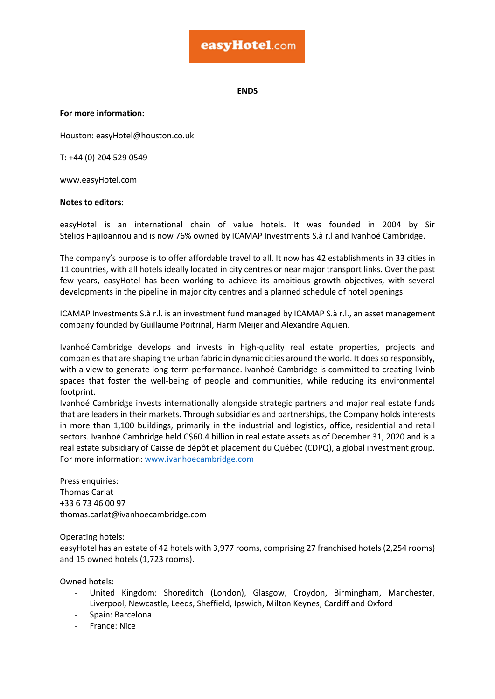## easyHotel.com

**ENDS**

**For more information:**

Houston: easyHotel@houston.co.uk 

T: +44 (0) 204 529 0549 

www.easyHotel.com 

## **Notes to editors:**

easyHotel is an international chain of value hotels. It was founded in 2004 by Sir Stelios HajiIoannou and is now 76% owned by ICAMAP Investments S.à r.l and Ivanhoé Cambridge.

The company's purpose is to offer affordable travel to all. It now has 42 establishments in 33 cities in 11 countries, with all hotels ideally located in city centres or near major transport links. Over the past few years, easyHotel has been working to achieve its ambitious growth objectives, with several developments in the pipeline in major city centres and a planned schedule of hotel openings. 

ICAMAP Investments S.à r.l. is an investment fund managed by ICAMAP S.à r.l., an asset management company founded by Guillaume Poitrinal, Harm Meijer and Alexandre Aquien. 

Ivanhoé Cambridge develops and invests in high-quality real estate properties, projects and companies that are shaping the urban fabric in dynamic cities around the world. It does so responsibly, with a view to generate long-term performance. Ivanhoé Cambridge is committed to creating livinb spaces that foster the well-being of people and communities, while reducing its environmental footprint.

Ivanhoé Cambridge invests internationally alongside strategic partners and major real estate funds that are leaders in their markets. Through subsidiaries and partnerships, the Company holds interests in more than 1,100 buildings, primarily in the industrial and logistics, office, residential and retail sectors. Ivanhoé Cambridge held C\$60.4 billion in real estate assets as of December 31, 2020 and is a real estate subsidiary of Caisse de dépôt et placement du Québec (CDPQ), a global investment group. For more information: [www.ivanhoecambridge.com](http://www.ivanhoecambridge.com/)

Press enquiries: Thomas Carlat +33 6 73 46 00 97 thomas.carlat@ivanhoecambridge.com

Operating hotels:

easyHotel has an estate of 42 hotels with 3,977 rooms, comprising 27 franchised hotels (2,254 rooms) and 15 owned hotels (1,723 rooms). 

Owned hotels: 

- United Kingdom: Shoreditch (London), Glasgow, Croydon, Birmingham, Manchester, Liverpool, Newcastle, Leeds, Sheffield, Ipswich, Milton Keynes, Cardiff and Oxford
- Spain: Barcelona
- France: Nice